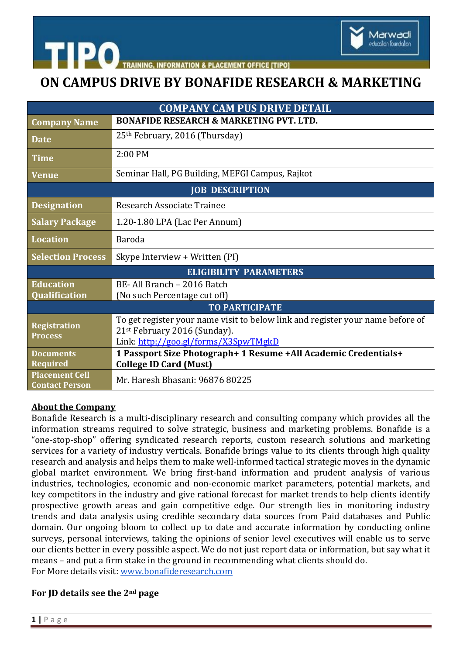

**CEMENT OFFICE ITIPO** 

## **ON CAMPUS DRIVE BY BONAFIDE RESEARCH & MARKETING**

| <b>COMPANY CAM PUS DRIVE DETAIL</b>            |                                                                                                                                                        |
|------------------------------------------------|--------------------------------------------------------------------------------------------------------------------------------------------------------|
| <b>Company Name</b>                            | <b>BONAFIDE RESEARCH &amp; MARKETING PVT. LTD.</b>                                                                                                     |
| <b>Date</b>                                    | 25 <sup>th</sup> February, 2016 (Thursday)                                                                                                             |
| <b>Time</b>                                    | 2:00 PM                                                                                                                                                |
| <b>Venue</b>                                   | Seminar Hall, PG Building, MEFGI Campus, Rajkot                                                                                                        |
| <b>JOB DESCRIPTION</b>                         |                                                                                                                                                        |
| <b>Designation</b>                             | Research Associate Trainee                                                                                                                             |
| <b>Salary Package</b>                          | 1.20-1.80 LPA (Lac Per Annum)                                                                                                                          |
| Location                                       | <b>Baroda</b>                                                                                                                                          |
| <b>Selection Process</b>                       | Skype Interview + Written (PI)                                                                                                                         |
| <b>ELIGIBILITY PARAMETERS</b>                  |                                                                                                                                                        |
| <b>Education</b>                               | BE- All Branch - 2016 Batch                                                                                                                            |
| Qualification                                  | (No such Percentage cut off)                                                                                                                           |
| <b>TO PARTICIPATE</b>                          |                                                                                                                                                        |
| <b>Registration</b><br><b>Process</b>          | To get register your name visit to below link and register your name before of<br>21st February 2016 (Sunday).<br>Link: http://goo.gl/forms/X3SpwTMgkD |
| <b>Documents</b>                               | 1 Passport Size Photograph+ 1 Resume +All Academic Credentials+                                                                                        |
| Required                                       | <b>College ID Card (Must)</b>                                                                                                                          |
| <b>Placement Cell</b><br><b>Contact Person</b> | Mr. Haresh Bhasani: 96876 80225                                                                                                                        |

### **About the Company**

**htipo** 

Bonafide Research is a multi-disciplinary research and consulting company which provides all the information streams required to solve strategic, business and marketing problems. Bonafide is a "one-stop-shop" offering syndicated research reports, custom research solutions and marketing services for a variety of industry verticals. Bonafide brings value to its clients through high quality research and analysis and helps them to make well-informed tactical strategic moves in the dynamic global market environment. We bring first-hand information and prudent analysis of various industries, technologies, economic and non-economic market parameters, potential markets, and key competitors in the industry and give rational forecast for market trends to help clients identify prospective growth areas and gain competitive edge. Our strength lies in monitoring industry trends and data analysis using credible secondary data sources from Paid databases and Public domain. Our ongoing bloom to collect up to date and accurate information by conducting online surveys, personal interviews, taking the opinions of senior level executives will enable us to serve our clients better in every possible aspect. We do not just report data or information, but say what it means – and put a firm stake in the ground in recommending what clients should do. For More details visit: [www.bonafideresearch.com](http://www.bonafideresearch.com/)

### **For JD details see the 2nd page**